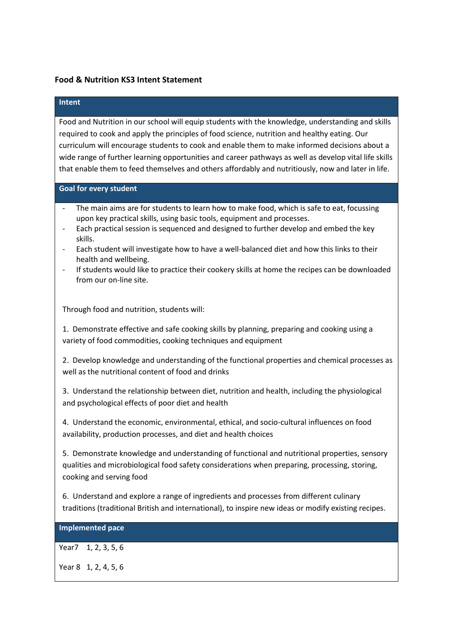### **Food & Nutrition KS3 Intent Statement**

### **Intent**

Food and Nutrition in our school will equip students with the knowledge, understanding and skills required to cook and apply the principles of food science, nutrition and healthy eating. Our curriculum will encourage students to cook and enable them to make informed decisions about a wide range of further learning opportunities and career pathways as well as develop vital life skills that enable them to feed themselves and others affordably and nutritiously, now and later in life.

#### **Goal for every student**

- The main aims are for students to learn how to make food, which is safe to eat, focussing upon key practical skills, using basic tools, equipment and processes.
- Each practical session is sequenced and designed to further develop and embed the key skills.
- Each student will investigate how to have a well-balanced diet and how this links to their health and wellbeing.
- If students would like to practice their cookery skills at home the recipes can be downloaded from our on-line site.

Through food and nutrition, students will:

1. Demonstrate effective and safe cooking skills by planning, preparing and cooking using a variety of food commodities, cooking techniques and equipment

2. Develop knowledge and understanding of the functional properties and chemical processes as well as the nutritional content of food and drinks

3. Understand the relationship between diet, nutrition and health, including the physiological and psychological effects of poor diet and health

4. Understand the economic, environmental, ethical, and socio-cultural influences on food availability, production processes, and diet and health choices

5. Demonstrate knowledge and understanding of functional and nutritional properties, sensory qualities and microbiological food safety considerations when preparing, processing, storing, cooking and serving food

6. Understand and explore a range of ingredients and processes from different culinary traditions (traditional British and international), to inspire new ideas or modify existing recipes.

# **Implemented pace**

Year7 1, 2, 3, 5, 6

Year 8 1, 2, 4, 5, 6